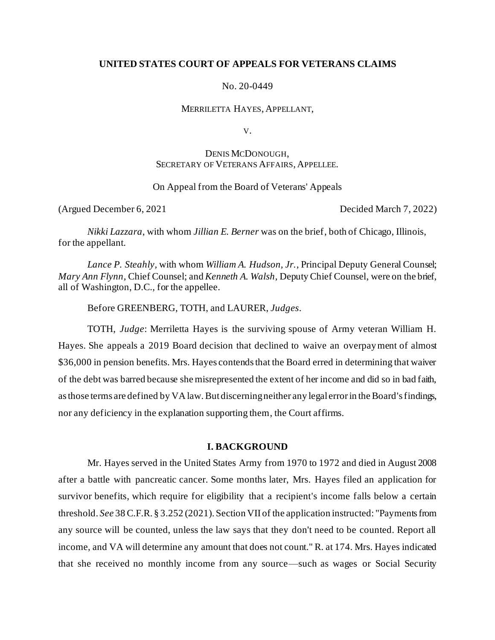### **UNITED STATES COURT OF APPEALS FOR VETERANS CLAIMS**

No. 20-0449

MERRILETTA HAYES, APPELLANT,

V.

## DENIS MCDONOUGH, SECRETARY OF VETERANS AFFAIRS, APPELLEE.

On Appeal from the Board of Veterans' Appeals

(Argued December 6, 2021 Decided March 7, 2022)

*Nikki Lazzara*, with whom *Jillian E. Berner* was on the brief, both of Chicago, Illinois, for the appellant.

*Lance P. Steahly,* with whom *William A. Hudson, Jr.,* Principal Deputy General Counsel; *Mary Ann Flynn*, Chief Counsel; and *Kenneth A. Walsh*, Deputy Chief Counsel, were on the brief, all of Washington, D.C., for the appellee.

Before GREENBERG, TOTH, and LAURER, *Judges*.

TOTH, *Judge*: Merriletta Hayes is the surviving spouse of Army veteran William H. Hayes. She appeals a 2019 Board decision that declined to waive an overpayment of almost \$36,000 in pension benefits. Mrs. Hayes contends that the Board erred in determining that waiver of the debt was barred because she misrepresented the extent of her income and did so in bad faith, as those terms are defined by VA law. But discerning neither any legal error in the Board's findings, nor any deficiency in the explanation supporting them, the Court affirms.

### **I. BACKGROUND**

Mr. Hayes served in the United States Army from 1970 to 1972 and died in August 2008 after a battle with pancreatic cancer. Some months later, Mrs. Hayes filed an application for survivor benefits, which require for eligibility that a recipient's income falls below a certain threshold. *See* 38 C.F.R. § 3.252 (2021). Section VII of the application instructed: "Payments from any source will be counted, unless the law says that they don't need to be counted. Report all income, and VA will determine any amount that does not count." R. at 174. Mrs. Hayes indicated that she received no monthly income from any source—such as wages or Social Security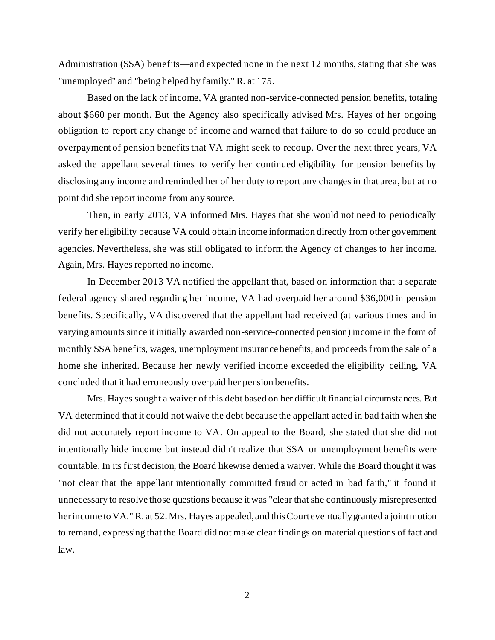Administration (SSA) benefits—and expected none in the next 12 months, stating that she was "unemployed" and "being helped by family." R. at 175.

Based on the lack of income, VA granted non-service-connected pension benefits, totaling about \$660 per month. But the Agency also specifically advised Mrs. Hayes of her ongoing obligation to report any change of income and warned that failure to do so could produce an overpayment of pension benefits that VA might seek to recoup. Over the next three years, VA asked the appellant several times to verify her continued eligibility for pension benefits by disclosing any income and reminded her of her duty to report any changes in that area, but at no point did she report income from any source.

Then, in early 2013, VA informed Mrs. Hayes that she would not need to periodically verify her eligibility because VA could obtain income information directly from other government agencies. Nevertheless, she was still obligated to inform the Agency of changes to her income. Again, Mrs. Hayes reported no income.

In December 2013 VA notified the appellant that, based on information that a separate federal agency shared regarding her income, VA had overpaid her around \$36,000 in pension benefits. Specifically, VA discovered that the appellant had received (at various times and in varying amounts since it initially awarded non-service-connected pension) income in the form of monthly SSA benefits, wages, unemployment insurance benefits, and proceeds from the sale of a home she inherited. Because her newly verified income exceeded the eligibility ceiling, VA concluded that it had erroneously overpaid her pension benefits.

Mrs. Hayes sought a waiver of this debt based on her difficult financial circumstances. But VA determined that it could not waive the debt because the appellant acted in bad faith when she did not accurately report income to VA. On appeal to the Board, she stated that she did not intentionally hide income but instead didn't realize that SSA or unemployment benefits were countable. In its first decision, the Board likewise denied a waiver. While the Board thought it was "not clear that the appellant intentionally committed fraud or acted in bad faith," it found it unnecessary to resolve those questions because it was "clear that she continuously misrepresented her income to VA." R. at 52. Mrs. Hayes appealed,and this Court eventually granted a joint motion to remand, expressing that the Board did not make clear findings on material questions of fact and law.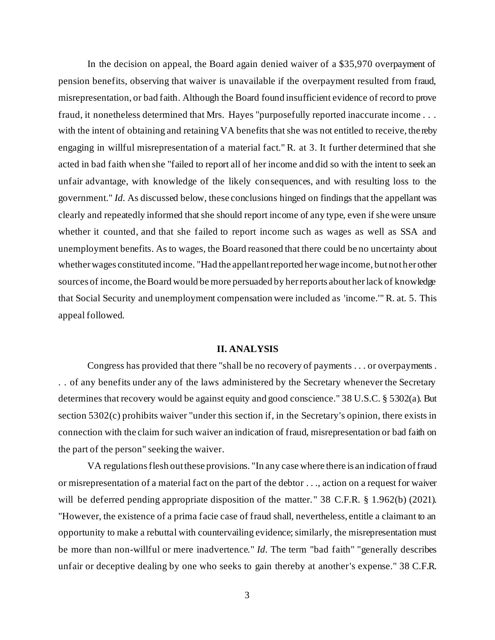In the decision on appeal, the Board again denied waiver of a \$35,970 overpayment of pension benefits, observing that waiver is unavailable if the overpayment resulted from fraud, misrepresentation, or bad faith. Although the Board found insufficient evidence of record to prove fraud, it nonetheless determined that Mrs. Hayes "purposefully reported inaccurate income . . . with the intent of obtaining and retaining VA benefits that she was not entitled to receive, the reby engaging in willful misrepresentation of a material fact." R. at 3. It further determined that she acted in bad faith when she "failed to report all of her income and did so with the intent to seek an unfair advantage, with knowledge of the likely consequences, and with resulting loss to the government." *Id.* As discussed below, these conclusions hinged on findings that the appellant was clearly and repeatedly informed that she should report income of any type, even if she were unsure whether it counted, and that she failed to report income such as wages as well as SSA and unemployment benefits. As to wages, the Board reasoned that there could be no uncertainty about whether wages constituted income. "Had the appellant reported her wage income, but not her other sources of income, the Board would be more persuaded by her reports about her lack of knowledge that Social Security and unemployment compensation were included as 'income.'" R. at. 5. This appeal followed.

#### **II. ANALYSIS**

Congress has provided that there "shall be no recovery of payments . . . or overpayments . . . of any benefits under any of the laws administered by the Secretary whenever the Secretary determines that recovery would be against equity and good conscience." 38 U.S.C. § 5302(a). But section 5302(c) prohibits waiver "under this section if, in the Secretary's opinion, there exists in connection with the claim for such waiver an indication of fraud, misrepresentation or bad faith on the part of the person" seeking the waiver.

VA regulations flesh out these provisions. "In any case where there is an indication of fraud or misrepresentation of a material fact on the part of the debtor . . ., action on a request for waiver will be deferred pending appropriate disposition of the matter." 38 C.F.R. § 1.962(b) (2021). "However, the existence of a prima facie case of fraud shall, nevertheless, entitle a claimant to an opportunity to make a rebuttal with countervailing evidence; similarly, the misrepresentation must be more than non-willful or mere inadvertence." *Id.* The term "bad faith" "generally describes unfair or deceptive dealing by one who seeks to gain thereby at another's expense." 38 C.F.R.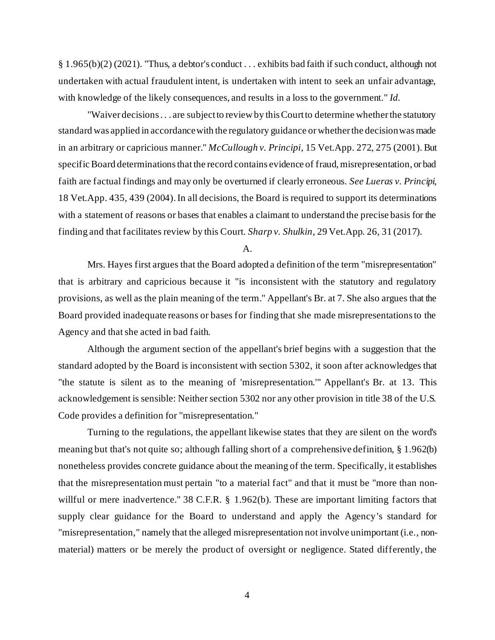§ 1.965(b)(2) (2021). "Thus, a debtor's conduct . . . exhibits bad faith if such conduct, although not undertaken with actual fraudulent intent, is undertaken with intent to seek an unfair advantage, with knowledge of the likely consequences, and results in a loss to the government." *Id.*

"Waiver decisions . . . are subject to review by this Court to determine whether the statutory standard was applied in accordance with the regulatory guidance or whether the decision was made in an arbitrary or capricious manner." *McCullough v. Principi*, 15 Vet.App. 272, 275 (2001). But specific Board determinations that the record contains evidence of fraud, misrepresentation, or bad faith are factual findings and may only be overturned if clearly erroneous. *See Lueras v. Principi*, 18 Vet.App. 435, 439 (2004). In all decisions, the Board is required to support its determinations with a statement of reasons or bases that enables a claimant to understand the precise basis for the finding and that facilitates review by this Court. *Sharp v. Shulkin*, 29 Vet.App. 26, 31 (2017).

A.

Mrs. Hayes first argues that the Board adopted a definition of the term "misrepresentation" that is arbitrary and capricious because it "is inconsistent with the statutory and regulatory provisions, as well as the plain meaning of the term." Appellant's Br. at 7. She also argues that the Board provided inadequate reasons or bases for finding that she made misrepresentations to the Agency and that she acted in bad faith.

Although the argument section of the appellant's brief begins with a suggestion that the standard adopted by the Board is inconsistent with section 5302, it soon after acknowledges that "the statute is silent as to the meaning of 'misrepresentation.'" Appellant's Br. at 13. This acknowledgement is sensible: Neither section 5302 nor any other provision in title 38 of the U.S. Code provides a definition for "misrepresentation."

Turning to the regulations, the appellant likewise states that they are silent on the word's meaning but that's not quite so; although falling short of a comprehensive definition, § 1.962(b) nonetheless provides concrete guidance about the meaning of the term. Specifically, it establishes that the misrepresentation must pertain "to a material fact" and that it must be "more than nonwillful or mere inadvertence." 38 C.F.R. § 1.962(b). These are important limiting factors that supply clear guidance for the Board to understand and apply the Agency 's standard for "misrepresentation," namely that the alleged misrepresentation not involve unimportant (i.e., nonmaterial) matters or be merely the product of oversight or negligence. Stated differently, the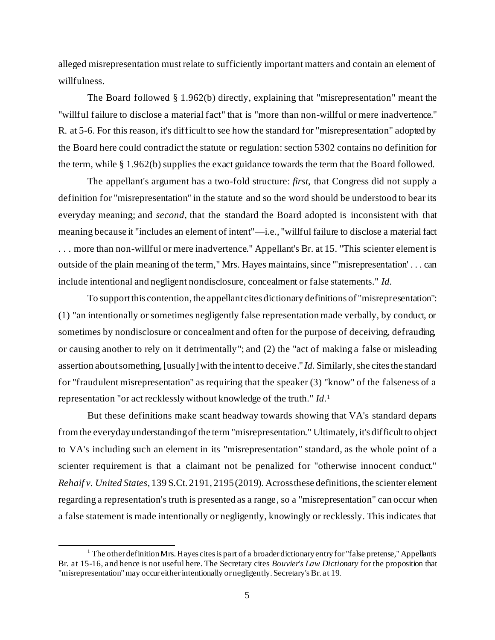alleged misrepresentation must relate to sufficiently important matters and contain an element of willfulness.

The Board followed § 1.962(b) directly, explaining that "misrepresentation" meant the "willful failure to disclose a material fact" that is "more than non-willful or mere inadvertence." R. at 5-6. For this reason, it's difficult to see how the standard for "misrepresentation" adopted by the Board here could contradict the statute or regulation: section 5302 contains no definition for the term, while § 1.962(b) supplies the exact guidance towards the term that the Board followed.

The appellant's argument has a two-fold structure: *first*, that Congress did not supply a definition for "misrepresentation" in the statute and so the word should be understood to bear its everyday meaning; and *second*, that the standard the Board adopted is inconsistent with that meaning because it "includes an element of intent"—i.e., "willful failure to disclose a material fact . . . more than non-willful or mere inadvertence." Appellant's Br. at 15. "This scienter element is outside of the plain meaning of the term," Mrs. Hayes maintains, since "'misrepresentation' . . . can include intentional and negligent nondisclosure, concealment or false statements." *Id.*

To support this contention, the appellant cites dictionary definitions of "misrepresentation": (1) "an intentionally or sometimes negligently false representation made verbally, by conduct, or sometimes by nondisclosure or concealment and often for the purpose of deceiving, defrauding, or causing another to rely on it detrimentally"; and (2) the "act of making a false or misleading assertion about something, [usually] with the intent to deceive." *Id.* Similarly, she cites the standard for "fraudulent misrepresentation" as requiring that the speaker (3) "know" of the falseness of a representation "or act recklessly without knowledge of the truth." *Id.*<sup>1</sup>

But these definitions make scant headway towards showing that VA's standard departs from the everyday understanding of the term "misrepresentation." Ultimately, it's difficult to object to VA's including such an element in its "misrepresentation" standard, as the whole point of a scienter requirement is that a claimant not be penalized for "otherwise innocent conduct." *Rehaif v. United States*, 139 S.Ct. 2191, 2195(2019). Across these definitions, the scienter element regarding a representation's truth is presented as a range, so a "misrepresentation" can occur when a false statement is made intentionally or negligently, knowingly or recklessly. This indicates that

 $1$  The other definition Mrs. Hayes cites is part of a broader dictionary entry for "false pretense," Appellant's Br. at 15-16, and hence is not useful here. The Secretary cites *Bouvier's Law Dictionary* for the proposition that "misrepresentation" may occur either intentionally or negligently. Secretary's Br. at 19.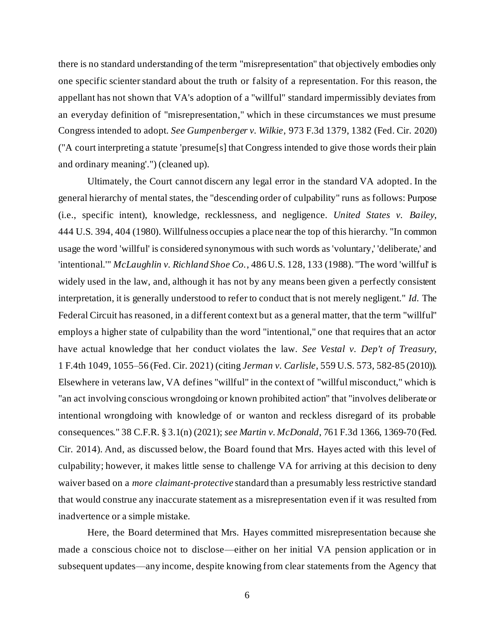there is no standard understanding of the term "misrepresentation" that objectively embodies only one specific scienter standard about the truth or falsity of a representation. For this reason, the appellant has not shown that VA's adoption of a "willful" standard impermissibly deviates from an everyday definition of "misrepresentation," which in these circumstances we must presume Congress intended to adopt. *See Gumpenberger v. Wilkie*, 973 F.3d 1379, 1382 (Fed. Cir. 2020) ("A court interpreting a statute 'presume[s] that Congress intended to give those words their plain and ordinary meaning'.") (cleaned up).

Ultimately, the Court cannot discern any legal error in the standard VA adopted. In the general hierarchy of mental states, the "descending order of culpability" runs as follows: Purpose (i.e., specific intent), knowledge, recklessness, and negligence. *United States v. Bailey*, 444 U.S. 394, 404 (1980). Willfulness occupies a place near the top of this hierarchy. "In common usage the word 'willful' is considered synonymous with such words as 'voluntary,' 'deliberate,' and 'intentional.'" *McLaughlin v. Richland Shoe Co.*, 486 U.S. 128, 133 (1988). "The word 'willful' is widely used in the law, and, although it has not by any means been given a perfectly consistent interpretation, it is generally understood to refer to conduct that is not merely negligent." *Id.* The Federal Circuit has reasoned, in a different context but as a general matter, that the term "willful" employs a higher state of culpability than the word "intentional," one that requires that an actor have actual knowledge that her conduct violates the law. *See Vestal v. Dep't of Treasury*, 1 F.4th 1049, 1055–56 (Fed. Cir. 2021) (citing *Jerman v. Carlisle*, 559 U.S. 573, 582-85 (2010)). Elsewhere in veterans law, VA defines "willful" in the context of "willful misconduct," which is "an act involving conscious wrongdoing or known prohibited action" that "involves deliberate or intentional wrongdoing with knowledge of or wanton and reckless disregard of its probable consequences." 38 C.F.R. § 3.1(n) (2021); *see Martin v. McDonald*, 761 F.3d 1366, 1369-70 (Fed. Cir. 2014). And, as discussed below, the Board found that Mrs. Hayes acted with this level of culpability; however, it makes little sense to challenge VA for arriving at this decision to deny waiver based on a *more claimant-protective* standard than a presumably less restrictive standard that would construe any inaccurate statement as a misrepresentation even if it was resulted from inadvertence or a simple mistake.

Here, the Board determined that Mrs. Hayes committed misrepresentation because she made a conscious choice not to disclose—either on her initial VA pension application or in subsequent updates—any income, despite knowing from clear statements from the Agency that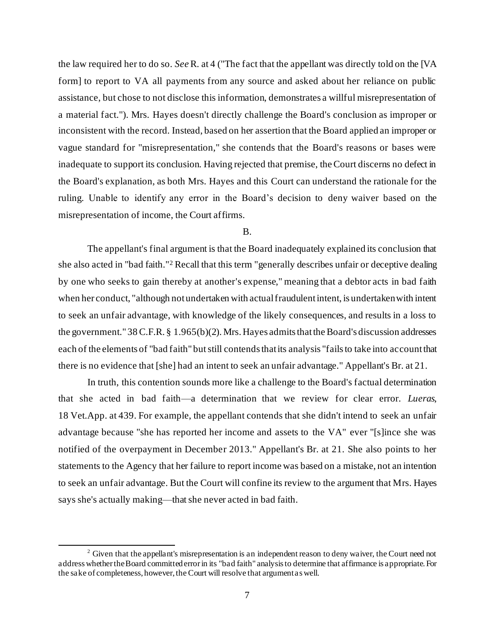the law required her to do so. *See*R. at 4 ("The fact that the appellant was directly told on the [VA form] to report to VA all payments from any source and asked about her reliance on public assistance, but chose to not disclose this information, demonstrates a willful misrepresentation of a material fact."). Mrs. Hayes doesn't directly challenge the Board's conclusion as improper or inconsistent with the record. Instead, based on her assertion that the Board applied an improper or vague standard for "misrepresentation," she contends that the Board's reasons or bases were inadequate to support its conclusion. Having rejected that premise, the Court discerns no defect in the Board's explanation, as both Mrs. Hayes and this Court can understand the rationale for the ruling. Unable to identify any error in the Board's decision to deny waiver based on the misrepresentation of income, the Court affirms.

#### B.

The appellant's final argument is that the Board inadequately explained its conclusion that she also acted in "bad faith."<sup>2</sup> Recall that this term "generally describes unfair or deceptive dealing by one who seeks to gain thereby at another's expense," meaning that a debtor acts in bad faith when her conduct, "although not undertaken with actual fraudulent intent, is undertaken with intent to seek an unfair advantage, with knowledge of the likely consequences, and results in a loss to the government." 38 C.F.R. § 1.965(b)(2). Mrs. Hayes admits that the Board's discussion addresses each of the elements of "bad faith" but still contends that its analysis "fails to take into account that there is no evidence that [she] had an intent to seek an unfair advantage." Appellant's Br. at 21.

In truth, this contention sounds more like a challenge to the Board's factual determination that she acted in bad faith—a determination that we review for clear error. *Lueras*, 18 Vet.App. at 439. For example, the appellant contends that she didn't intend to seek an unfair advantage because "she has reported her income and assets to the VA" ever "[s]ince she was notified of the overpayment in December 2013." Appellant's Br. at 21. She also points to her statements to the Agency that her failure to report income was based on a mistake, not an intention to seek an unfair advantage. But the Court will confine its review to the argument that Mrs. Hayes says she's actually making—that she never acted in bad faith.

<sup>&</sup>lt;sup>2</sup> Given that the appellant's misrepresentation is an independent reason to deny waiver, the Court need not address whether the Board committed error in its "bad faith" analysis to determine that affirmance is appropriate. For the sake of completeness, however, the Court will resolve that argument as well.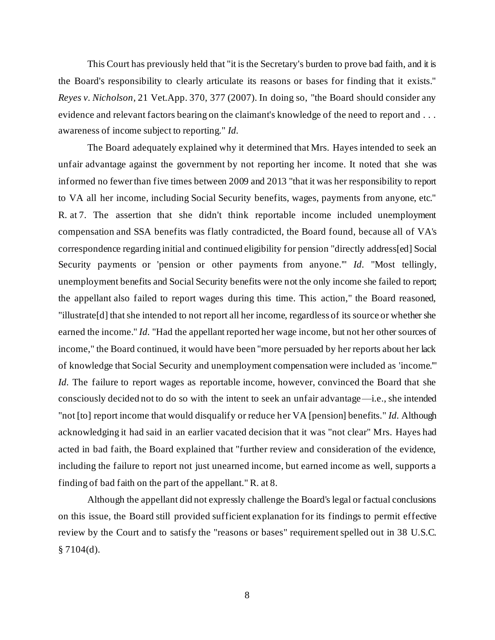This Court has previously held that "it is the Secretary's burden to prove bad faith, and it is the Board's responsibility to clearly articulate its reasons or bases for finding that it exists." *Reyes v. Nicholson*, 21 Vet.App. 370, 377 (2007). In doing so, "the Board should consider any evidence and relevant factors bearing on the claimant's knowledge of the need to report and . . . awareness of income subject to reporting." *Id.*

The Board adequately explained why it determined that Mrs. Hayes intended to seek an unfair advantage against the government by not reporting her income. It noted that she was informed no fewer than five times between 2009 and 2013 "that it was her responsibility to report to VA all her income, including Social Security benefits, wages, payments from anyone, etc." R. at 7. The assertion that she didn't think reportable income included unemployment compensation and SSA benefits was flatly contradicted, the Board found, because all of VA's correspondence regarding initial and continued eligibility for pension "directly address[ed] Social Security payments or 'pension or other payments from anyone.'" *Id.* "Most tellingly, unemployment benefits and Social Security benefits were not the only income she failed to report; the appellant also failed to report wages during this time. This action," the Board reasoned, "illustrate[d] that she intended to not report all her income, regardless of its source or whether she earned the income." *Id.* "Had the appellant reported her wage income, but not her other sources of income," the Board continued, it would have been "more persuaded by her reports about her lack of knowledge that Social Security and unemployment compensation were included as 'income.'" *Id.* The failure to report wages as reportable income, however, convinced the Board that she consciously decided not to do so with the intent to seek an unfair advantage—i.e., she intended "not [to] report income that would disqualify or reduce her VA [pension] benefits." *Id.* Although acknowledging it had said in an earlier vacated decision that it was "not clear" Mrs. Hayes had acted in bad faith, the Board explained that "further review and consideration of the evidence, including the failure to report not just unearned income, but earned income as well, supports a finding of bad faith on the part of the appellant." R. at 8.

Although the appellant did not expressly challenge the Board's legal or factual conclusions on this issue, the Board still provided sufficient explanation for its findings to permit effective review by the Court and to satisfy the "reasons or bases" requirement spelled out in 38 U.S.C.  $§ 7104(d).$